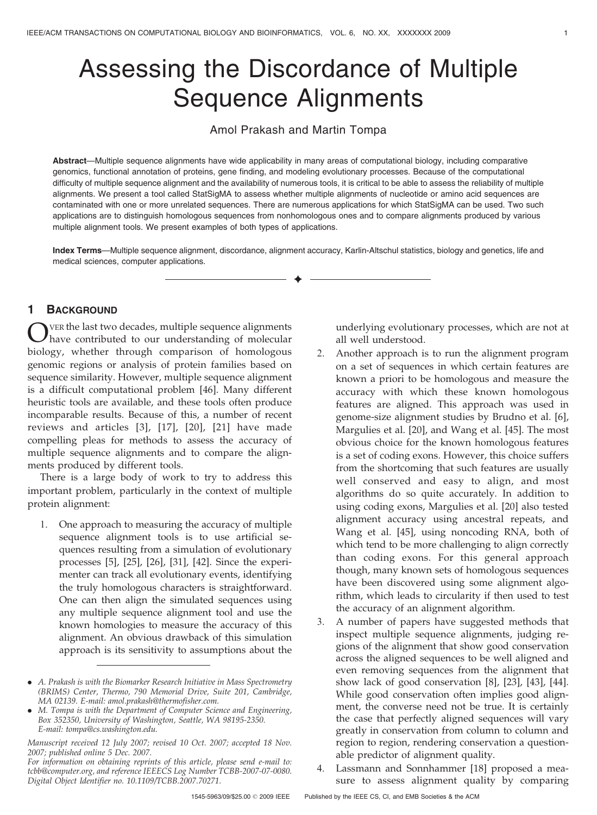# Assessing the Discordance of Multiple Sequence Alignments

# Amol Prakash and Martin Tompa

Abstract—Multiple sequence alignments have wide applicability in many areas of computational biology, including comparative genomics, functional annotation of proteins, gene finding, and modeling evolutionary processes. Because of the computational difficulty of multiple sequence alignment and the availability of numerous tools, it is critical to be able to assess the reliability of multiple alignments. We present a tool called StatSigMA to assess whether multiple alignments of nucleotide or amino acid sequences are contaminated with one or more unrelated sequences. There are numerous applications for which StatSigMA can be used. Two such applications are to distinguish homologous sequences from nonhomologous ones and to compare alignments produced by various multiple alignment tools. We present examples of both types of applications.

Index Terms—Multiple sequence alignment, discordance, alignment accuracy, Karlin-Altschul statistics, biology and genetics, life and medical sciences, computer applications.

 $\ddotmark$ 

# 1 BACKGROUND

OVER the last two decades, multiple sequence alignments<br>have contributed to our understanding of molecular biology, whether through comparison of homologous genomic regions or analysis of protein families based on sequence similarity. However, multiple sequence alignment is a difficult computational problem [46]. Many different heuristic tools are available, and these tools often produce incomparable results. Because of this, a number of recent reviews and articles [3], [17], [20], [21] have made compelling pleas for methods to assess the accuracy of multiple sequence alignments and to compare the alignments produced by different tools.

There is a large body of work to try to address this important problem, particularly in the context of multiple protein alignment:

1. One approach to measuring the accuracy of multiple sequence alignment tools is to use artificial sequences resulting from a simulation of evolutionary processes [5], [25], [26], [31], [42]. Since the experimenter can track all evolutionary events, identifying the truly homologous characters is straightforward. One can then align the simulated sequences using any multiple sequence alignment tool and use the known homologies to measure the accuracy of this alignment. An obvious drawback of this simulation approach is its sensitivity to assumptions about the

. M. Tompa is with the Department of Computer Science and Engineering, Box 352350, University of Washington, Seattle, WA 98195-2350. E-mail: tompa@cs.washington.edu.

underlying evolutionary processes, which are not at all well understood.

- 2. Another approach is to run the alignment program on a set of sequences in which certain features are known a priori to be homologous and measure the accuracy with which these known homologous features are aligned. This approach was used in genome-size alignment studies by Brudno et al. [6], Margulies et al. [20], and Wang et al. [45]. The most obvious choice for the known homologous features is a set of coding exons. However, this choice suffers from the shortcoming that such features are usually well conserved and easy to align, and most algorithms do so quite accurately. In addition to using coding exons, Margulies et al. [20] also tested alignment accuracy using ancestral repeats, and Wang et al. [45], using noncoding RNA, both of which tend to be more challenging to align correctly than coding exons. For this general approach though, many known sets of homologous sequences have been discovered using some alignment algorithm, which leads to circularity if then used to test the accuracy of an alignment algorithm.
- 3. A number of papers have suggested methods that inspect multiple sequence alignments, judging regions of the alignment that show good conservation across the aligned sequences to be well aligned and even removing sequences from the alignment that show lack of good conservation [8], [23], [43], [44]. While good conservation often implies good alignment, the converse need not be true. It is certainly the case that perfectly aligned sequences will vary greatly in conservation from column to column and region to region, rendering conservation a questionable predictor of alignment quality.
- 4. Lassmann and Sonnhammer [18] proposed a measure to assess alignment quality by comparing

<sup>.</sup> A. Prakash is with the Biomarker Research Initiative in Mass Spectrometry (BRIMS) Center, Thermo, 790 Memorial Drive, Suite 201, Cambridge, MA 02139. E-mail: amol.prakash@thermofisher.com.

Manuscript received 12 July 2007; revised 10 Oct. 2007; accepted 18 Nov. 2007; published online 5 Dec. 2007.

For information on obtaining reprints of this article, please send e-mail to: tcbb@computer.org, and reference IEEECS Log Number TCBB-2007-07-0080. Digital Object Identifier no. 10.1109/TCBB.2007.70271.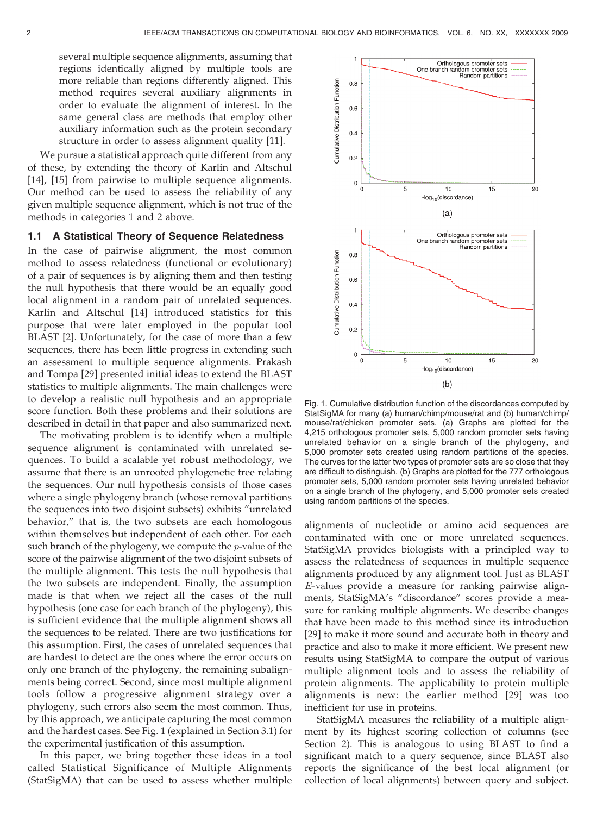several multiple sequence alignments, assuming that regions identically aligned by multiple tools are more reliable than regions differently aligned. This method requires several auxiliary alignments in order to evaluate the alignment of interest. In the same general class are methods that employ other auxiliary information such as the protein secondary structure in order to assess alignment quality [11].

We pursue a statistical approach quite different from any of these, by extending the theory of Karlin and Altschul [14], [15] from pairwise to multiple sequence alignments. Our method can be used to assess the reliability of any given multiple sequence alignment, which is not true of the methods in categories 1 and 2 above.

## 1.1 A Statistical Theory of Sequence Relatedness

In the case of pairwise alignment, the most common method to assess relatedness (functional or evolutionary) of a pair of sequences is by aligning them and then testing the null hypothesis that there would be an equally good local alignment in a random pair of unrelated sequences. Karlin and Altschul [14] introduced statistics for this purpose that were later employed in the popular tool BLAST [2]. Unfortunately, for the case of more than a few sequences, there has been little progress in extending such an assessment to multiple sequence alignments. Prakash and Tompa [29] presented initial ideas to extend the BLAST statistics to multiple alignments. The main challenges were to develop a realistic null hypothesis and an appropriate score function. Both these problems and their solutions are described in detail in that paper and also summarized next.

The motivating problem is to identify when a multiple sequence alignment is contaminated with unrelated sequences. To build a scalable yet robust methodology, we assume that there is an unrooted phylogenetic tree relating the sequences. Our null hypothesis consists of those cases where a single phylogeny branch (whose removal partitions the sequences into two disjoint subsets) exhibits "unrelated behavior," that is, the two subsets are each homologous within themselves but independent of each other. For each such branch of the phylogeny, we compute the  $p$ -value of the score of the pairwise alignment of the two disjoint subsets of the multiple alignment. This tests the null hypothesis that the two subsets are independent. Finally, the assumption made is that when we reject all the cases of the null hypothesis (one case for each branch of the phylogeny), this is sufficient evidence that the multiple alignment shows all the sequences to be related. There are two justifications for this assumption. First, the cases of unrelated sequences that are hardest to detect are the ones where the error occurs on only one branch of the phylogeny, the remaining subalignments being correct. Second, since most multiple alignment tools follow a progressive alignment strategy over a phylogeny, such errors also seem the most common. Thus, by this approach, we anticipate capturing the most common and the hardest cases. See Fig. 1 (explained in Section 3.1) for the experimental justification of this assumption.

In this paper, we bring together these ideas in a tool called Statistical Significance of Multiple Alignments (StatSigMA) that can be used to assess whether multiple



Fig. 1. Cumulative distribution function of the discordances computed by StatSigMA for many (a) human/chimp/mouse/rat and (b) human/chimp/ mouse/rat/chicken promoter sets. (a) Graphs are plotted for the 4,215 orthologous promoter sets, 5,000 random promoter sets having unrelated behavior on a single branch of the phylogeny, and 5,000 promoter sets created using random partitions of the species. The curves for the latter two types of promoter sets are so close that they are difficult to distinguish. (b) Graphs are plotted for the 777 orthologous promoter sets, 5,000 random promoter sets having unrelated behavior on a single branch of the phylogeny, and 5,000 promoter sets created using random partitions of the species.

alignments of nucleotide or amino acid sequences are contaminated with one or more unrelated sequences. StatSigMA provides biologists with a principled way to assess the relatedness of sequences in multiple sequence alignments produced by any alignment tool. Just as BLAST E-values provide a measure for ranking pairwise alignments, StatSigMA's "discordance" scores provide a measure for ranking multiple alignments. We describe changes that have been made to this method since its introduction [29] to make it more sound and accurate both in theory and practice and also to make it more efficient. We present new results using StatSigMA to compare the output of various multiple alignment tools and to assess the reliability of protein alignments. The applicability to protein multiple alignments is new: the earlier method [29] was too inefficient for use in proteins.

StatSigMA measures the reliability of a multiple alignment by its highest scoring collection of columns (see Section 2). This is analogous to using BLAST to find a significant match to a query sequence, since BLAST also reports the significance of the best local alignment (or collection of local alignments) between query and subject.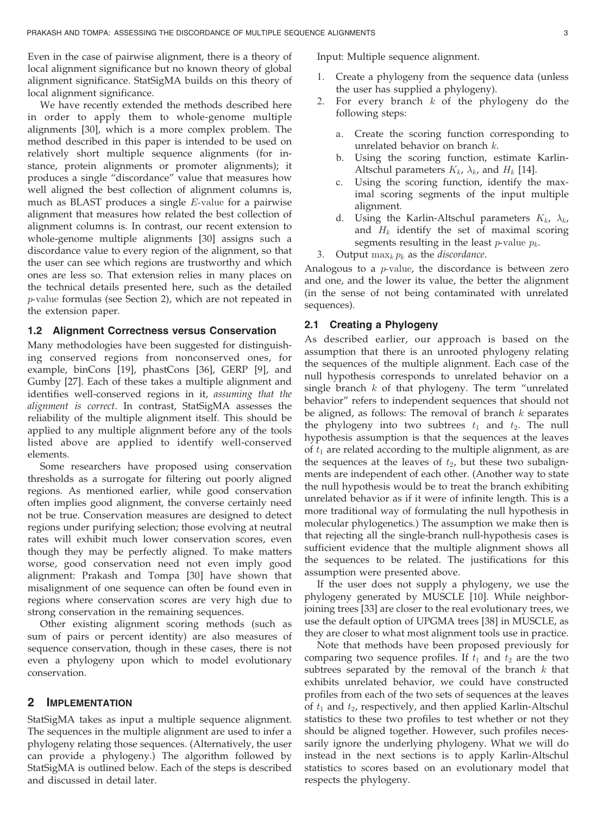Even in the case of pairwise alignment, there is a theory of local alignment significance but no known theory of global alignment significance. StatSigMA builds on this theory of local alignment significance.

We have recently extended the methods described here in order to apply them to whole-genome multiple alignments [30], which is a more complex problem. The method described in this paper is intended to be used on relatively short multiple sequence alignments (for instance, protein alignments or promoter alignments); it produces a single "discordance" value that measures how well aligned the best collection of alignment columns is, much as BLAST produces a single  $E$ -value for a pairwise alignment that measures how related the best collection of alignment columns is. In contrast, our recent extension to whole-genome multiple alignments [30] assigns such a discordance value to every region of the alignment, so that the user can see which regions are trustworthy and which ones are less so. That extension relies in many places on the technical details presented here, such as the detailed p-value formulas (see Section 2), which are not repeated in the extension paper.

#### 1.2 Alignment Correctness versus Conservation

Many methodologies have been suggested for distinguishing conserved regions from nonconserved ones, for example, binCons [19], phastCons [36], GERP [9], and Gumby [27]. Each of these takes a multiple alignment and identifies well-conserved regions in it, assuming that the alignment is correct. In contrast, StatSigMA assesses the reliability of the multiple alignment itself. This should be applied to any multiple alignment before any of the tools listed above are applied to identify well-conserved elements.

Some researchers have proposed using conservation thresholds as a surrogate for filtering out poorly aligned regions. As mentioned earlier, while good conservation often implies good alignment, the converse certainly need not be true. Conservation measures are designed to detect regions under purifying selection; those evolving at neutral rates will exhibit much lower conservation scores, even though they may be perfectly aligned. To make matters worse, good conservation need not even imply good alignment: Prakash and Tompa [30] have shown that misalignment of one sequence can often be found even in regions where conservation scores are very high due to strong conservation in the remaining sequences.

Other existing alignment scoring methods (such as sum of pairs or percent identity) are also measures of sequence conservation, though in these cases, there is not even a phylogeny upon which to model evolutionary conservation.

## 2 IMPLEMENTATION

StatSigMA takes as input a multiple sequence alignment. The sequences in the multiple alignment are used to infer a phylogeny relating those sequences. (Alternatively, the user can provide a phylogeny.) The algorithm followed by StatSigMA is outlined below. Each of the steps is described and discussed in detail later.

Input: Multiple sequence alignment.

- 1. Create a phylogeny from the sequence data (unless the user has supplied a phylogeny).
- 2. For every branch  $k$  of the phylogeny do the following steps:
	- a. Create the scoring function corresponding to unrelated behavior on branch k.
	- b. Using the scoring function, estimate Karlin-Altschul parameters  $K_k$ ,  $\lambda_k$ , and  $H_k$  [14].
	- c. Using the scoring function, identify the maximal scoring segments of the input multiple alignment.
	- d. Using the Karlin-Altschul parameters  $K_k$ ,  $\lambda_k$ , and  $H_k$  identify the set of maximal scoring segments resulting in the least  $p$ -value  $p_k$ .
- 3. Output  $\max_k p_k$  as the *discordance*.

Analogous to a  $p$ -value, the discordance is between zero and one, and the lower its value, the better the alignment (in the sense of not being contaminated with unrelated sequences).

#### 2.1 Creating a Phylogeny

As described earlier, our approach is based on the assumption that there is an unrooted phylogeny relating the sequences of the multiple alignment. Each case of the null hypothesis corresponds to unrelated behavior on a single branch  $k$  of that phylogeny. The term "unrelated behavior" refers to independent sequences that should not be aligned, as follows: The removal of branch  $k$  separates the phylogeny into two subtrees  $t_1$  and  $t_2$ . The null hypothesis assumption is that the sequences at the leaves of  $t_1$  are related according to the multiple alignment, as are the sequences at the leaves of  $t_2$ , but these two subalignments are independent of each other. (Another way to state the null hypothesis would be to treat the branch exhibiting unrelated behavior as if it were of infinite length. This is a more traditional way of formulating the null hypothesis in molecular phylogenetics.) The assumption we make then is that rejecting all the single-branch null-hypothesis cases is sufficient evidence that the multiple alignment shows all the sequences to be related. The justifications for this assumption were presented above.

If the user does not supply a phylogeny, we use the phylogeny generated by MUSCLE [10]. While neighborjoining trees [33] are closer to the real evolutionary trees, we use the default option of UPGMA trees [38] in MUSCLE, as they are closer to what most alignment tools use in practice.

Note that methods have been proposed previously for comparing two sequence profiles. If  $t_1$  and  $t_2$  are the two subtrees separated by the removal of the branch  $k$  that exhibits unrelated behavior, we could have constructed profiles from each of the two sets of sequences at the leaves of  $t_1$  and  $t_2$ , respectively, and then applied Karlin-Altschul statistics to these two profiles to test whether or not they should be aligned together. However, such profiles necessarily ignore the underlying phylogeny. What we will do instead in the next sections is to apply Karlin-Altschul statistics to scores based on an evolutionary model that respects the phylogeny.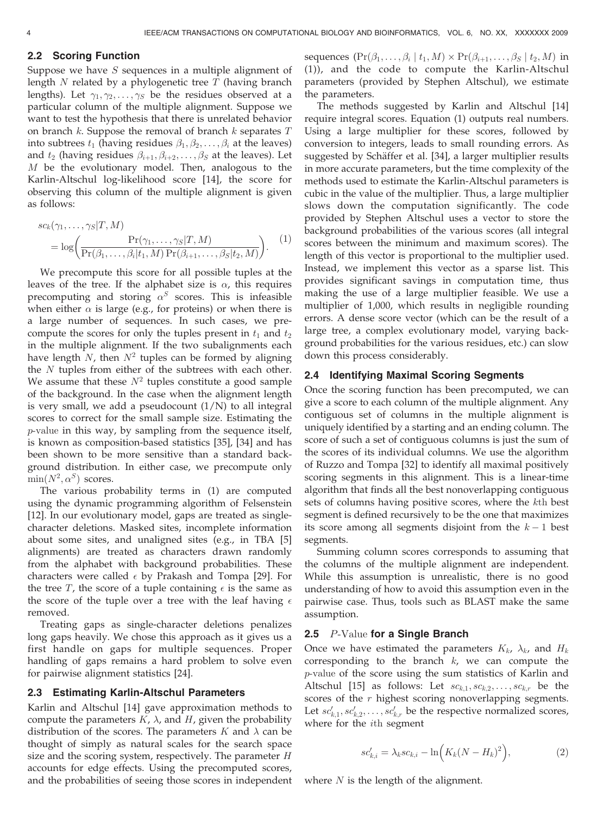# 2.2 Scoring Function

Suppose we have  $S$  sequences in a multiple alignment of length  $N$  related by a phylogenetic tree  $T$  (having branch lengths). Let  $\gamma_1, \gamma_2, \ldots, \gamma_s$  be the residues observed at a particular column of the multiple alignment. Suppose we want to test the hypothesis that there is unrelated behavior on branch  $k$ . Suppose the removal of branch  $k$  separates  $T$ into subtrees  $t_1$  (having residues  $\beta_1, \beta_2, \ldots, \beta_i$  at the leaves) and  $t_2$  (having residues  $\beta_{i+1}, \beta_{i+2}, \ldots, \beta_S$  at the leaves). Let  $M$  be the evolutionary model. Then, analogous to the Karlin-Altschul log-likelihood score [14], the score for observing this column of the multiple alignment is given as follows:

$$
sc_k(\gamma_1, \dots, \gamma_S | T, M)
$$
  
=  $\log \left( \frac{\Pr(\gamma_1, \dots, \gamma_S | T, M)}{\Pr(\beta_1, \dots, \beta_i | t_1, M) \Pr(\beta_{i+1}, \dots, \beta_S | t_2, M)} \right).$  (1)

We precompute this score for all possible tuples at the leaves of the tree. If the alphabet size is  $\alpha$ , this requires precomputing and storing  $\alpha^{S}$  scores. This is infeasible when either  $\alpha$  is large (e.g., for proteins) or when there is a large number of sequences. In such cases, we precompute the scores for only the tuples present in  $t_1$  and  $t_2$ in the multiple alignment. If the two subalignments each have length  $N$ , then  $N^2$  tuples can be formed by aligning the  $N$  tuples from either of the subtrees with each other. We assume that these  $N^2$  tuples constitute a good sample of the background. In the case when the alignment length is very small, we add a pseudocount (1/N) to all integral scores to correct for the small sample size. Estimating the  $p$ -value in this way, by sampling from the sequence itself, is known as composition-based statistics [35], [34] and has been shown to be more sensitive than a standard background distribution. In either case, we precompute only  $\min(N^2, \alpha^S)$  scores.

The various probability terms in (1) are computed using the dynamic programming algorithm of Felsenstein [12]. In our evolutionary model, gaps are treated as singlecharacter deletions. Masked sites, incomplete information about some sites, and unaligned sites (e.g., in TBA [5] alignments) are treated as characters drawn randomly from the alphabet with background probabilities. These characters were called  $\epsilon$  by Prakash and Tompa [29]. For the tree T, the score of a tuple containing  $\epsilon$  is the same as the score of the tuple over a tree with the leaf having  $\epsilon$ removed.

Treating gaps as single-character deletions penalizes long gaps heavily. We chose this approach as it gives us a first handle on gaps for multiple sequences. Proper handling of gaps remains a hard problem to solve even for pairwise alignment statistics [24].

# 2.3 Estimating Karlin-Altschul Parameters

Karlin and Altschul [14] gave approximation methods to compute the parameters  $K$ ,  $\lambda$ , and  $H$ , given the probability distribution of the scores. The parameters  $K$  and  $\lambda$  can be thought of simply as natural scales for the search space size and the scoring system, respectively. The parameter  $H$ accounts for edge effects. Using the precomputed scores, and the probabilities of seeing those scores in independent

sequences  $(\Pr(\beta_1, \ldots, \beta_i \mid t_1, M) \times \Pr(\beta_{i+1}, \ldots, \beta_S \mid t_2, M)$  in (1)), and the code to compute the Karlin-Altschul parameters (provided by Stephen Altschul), we estimate the parameters.

The methods suggested by Karlin and Altschul [14] require integral scores. Equation (1) outputs real numbers. Using a large multiplier for these scores, followed by conversion to integers, leads to small rounding errors. As suggested by Schäffer et al. [34], a larger multiplier results in more accurate parameters, but the time complexity of the methods used to estimate the Karlin-Altschul parameters is cubic in the value of the multiplier. Thus, a large multiplier slows down the computation significantly. The code provided by Stephen Altschul uses a vector to store the background probabilities of the various scores (all integral scores between the minimum and maximum scores). The length of this vector is proportional to the multiplier used. Instead, we implement this vector as a sparse list. This provides significant savings in computation time, thus making the use of a large multiplier feasible. We use a multiplier of 1,000, which results in negligible rounding errors. A dense score vector (which can be the result of a large tree, a complex evolutionary model, varying background probabilities for the various residues, etc.) can slow down this process considerably.

## 2.4 Identifying Maximal Scoring Segments

Once the scoring function has been precomputed, we can give a score to each column of the multiple alignment. Any contiguous set of columns in the multiple alignment is uniquely identified by a starting and an ending column. The score of such a set of contiguous columns is just the sum of the scores of its individual columns. We use the algorithm of Ruzzo and Tompa [32] to identify all maximal positively scoring segments in this alignment. This is a linear-time algorithm that finds all the best nonoverlapping contiguous sets of columns having positive scores, where the kth best segment is defined recursively to be the one that maximizes its score among all segments disjoint from the  $k - 1$  best segments.

Summing column scores corresponds to assuming that the columns of the multiple alignment are independent. While this assumption is unrealistic, there is no good understanding of how to avoid this assumption even in the pairwise case. Thus, tools such as BLAST make the same assumption.

#### 2.5  $P\text{-Value}$  for a Single Branch

Once we have estimated the parameters  $K_k$ ,  $\lambda_k$ , and  $H_k$ corresponding to the branch  $k$ , we can compute the p-value of the score using the sum statistics of Karlin and Altschul [15] as follows: Let  $sc_{k,1}, sc_{k,2}, \ldots, sc_{k,r}$  be the scores of the  $r$  highest scoring nonoverlapping segments. Let  $\mathit{sc}'_{k,1}, \mathit{sc}'_{k,2}, \ldots, \mathit{sc}'_{k,r}$  be the respective normalized scores, where for the ith segment

$$
sc'_{k,i} = \lambda_k sc_{k,i} - \ln\left(K_k(N - H_k)^2\right),\tag{2}
$$

where  $N$  is the length of the alignment.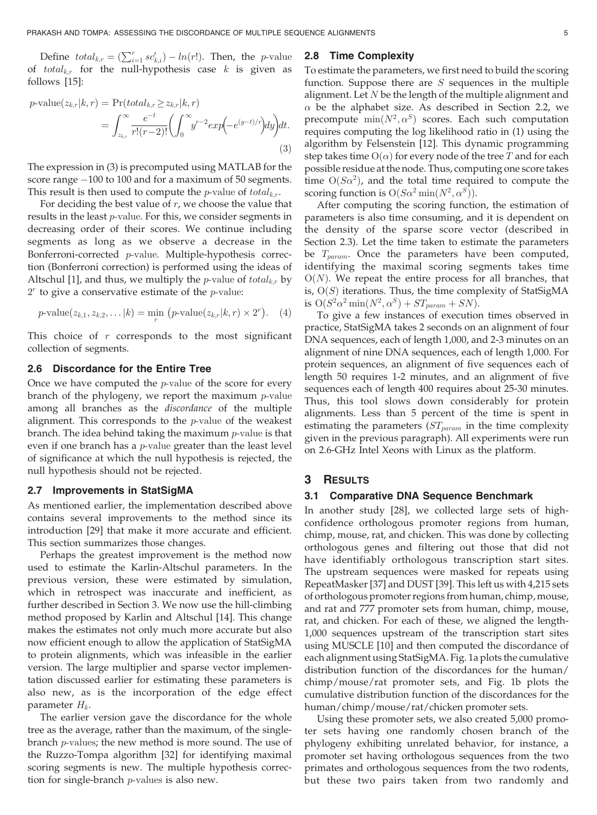Define  $total_{k,r} = (\sum_{i=1}^r sc'_{k,i}) - ln(r!)$ . Then, the *p*-value of  $total_{k,r}$  for the null-hypothesis case k is given as follows [15]:

$$
p\text{-value}(z_{k,r}|k,r) = \Pr(tot a l_{k,r} \ge z_{k,r}|k,r)
$$
  
= 
$$
\int_{z_{k,r}}^{\infty} \frac{e^{-t}}{r!(r-2)!} \left(\int_{0}^{\infty} y^{r-2} exp\left(-e^{(y-t)/r}\right) dy\right) dt.
$$
  
(3)

The expression in (3) is precomputed using MATLAB for the score range  $-100$  to 100 and for a maximum of 50 segments. This result is then used to compute the *p*-value of  $total_{k,r}$ .

For deciding the best value of  $r$ , we choose the value that results in the least  $p$ -value. For this, we consider segments in decreasing order of their scores. We continue including segments as long as we observe a decrease in the Bonferroni-corrected p-value. Multiple-hypothesis correction (Bonferroni correction) is performed using the ideas of Altschul [1], and thus, we multiply the  $p$ -value of  $total_{k,r}$  by  $2<sup>r</sup>$  to give a conservative estimate of the *p*-value:

$$
p
$$
-value $(z_{k,1}, z_{k,2},... | k) = \min_{r} (p$ -value $(z_{k,r} | k, r) \times 2^{r}).$  (4)

This choice of  $r$  corresponds to the most significant collection of segments.

## 2.6 Discordance for the Entire Tree

Once we have computed the  $p$ -value of the score for every branch of the phylogeny, we report the maximum  $p$ -value among all branches as the discordance of the multiple alignment. This corresponds to the  $p$ -value of the weakest branch. The idea behind taking the maximum  $p$ -value is that even if one branch has a  $p$ -value greater than the least level of significance at which the null hypothesis is rejected, the null hypothesis should not be rejected.

#### 2.7 Improvements in StatSigMA

As mentioned earlier, the implementation described above contains several improvements to the method since its introduction [29] that make it more accurate and efficient. This section summarizes those changes.

Perhaps the greatest improvement is the method now used to estimate the Karlin-Altschul parameters. In the previous version, these were estimated by simulation, which in retrospect was inaccurate and inefficient, as further described in Section 3. We now use the hill-climbing method proposed by Karlin and Altschul [14]. This change makes the estimates not only much more accurate but also now efficient enough to allow the application of StatSigMA to protein alignments, which was infeasible in the earlier version. The large multiplier and sparse vector implementation discussed earlier for estimating these parameters is also new, as is the incorporation of the edge effect parameter  $H_k$ .

The earlier version gave the discordance for the whole tree as the average, rather than the maximum, of the singlebranch p-values; the new method is more sound. The use of the Ruzzo-Tompa algorithm [32] for identifying maximal scoring segments is new. The multiple hypothesis correction for single-branch  $p$ -values is also new.

#### 2.8 Time Complexity

To estimate the parameters, we first need to build the scoring function. Suppose there are  $S$  sequences in the multiple alignment. Let  $N$  be the length of the multiple alignment and  $\alpha$  be the alphabet size. As described in Section 2.2, we precompute  $\min(N^2, \alpha^S)$  scores. Each such computation requires computing the log likelihood ratio in (1) using the algorithm by Felsenstein [12]. This dynamic programming step takes time  $O(\alpha)$  for every node of the tree T and for each possible residue at the node. Thus, computing one score takes time  $O(S\alpha^2)$ , and the total time required to compute the scoring function is  $O(S\alpha^2 \min(N^2, \alpha^S))$ .

After computing the scoring function, the estimation of parameters is also time consuming, and it is dependent on the density of the sparse score vector (described in Section 2.3). Let the time taken to estimate the parameters be  $T_{param}$ . Once the parameters have been computed, identifying the maximal scoring segments takes time  $O(N)$ . We repeat the entire process for all branches, that is,  $O(S)$  iterations. Thus, the time complexity of StatSigMA is  $O(S^2\alpha^2 \min(N^2, \alpha^S) + ST_{param} + SN).$ 

To give a few instances of execution times observed in practice, StatSigMA takes 2 seconds on an alignment of four DNA sequences, each of length 1,000, and 2-3 minutes on an alignment of nine DNA sequences, each of length 1,000. For protein sequences, an alignment of five sequences each of length 50 requires 1-2 minutes, and an alignment of five sequences each of length 400 requires about 25-30 minutes. Thus, this tool slows down considerably for protein alignments. Less than 5 percent of the time is spent in estimating the parameters  $(ST_{param}$  in the time complexity given in the previous paragraph). All experiments were run on 2.6-GHz Intel Xeons with Linux as the platform.

# 3 RESULTS

#### 3.1 Comparative DNA Sequence Benchmark

In another study [28], we collected large sets of highconfidence orthologous promoter regions from human, chimp, mouse, rat, and chicken. This was done by collecting orthologous genes and filtering out those that did not have identifiably orthologous transcription start sites. The upstream sequences were masked for repeats using RepeatMasker [37] and DUST [39]. This left us with 4,215 sets of orthologous promoter regions from human, chimp, mouse, and rat and 777 promoter sets from human, chimp, mouse, rat, and chicken. For each of these, we aligned the length-1,000 sequences upstream of the transcription start sites using MUSCLE [10] and then computed the discordance of each alignment using StatSigMA. Fig. 1a plots the cumulative distribution function of the discordances for the human/ chimp/mouse/rat promoter sets, and Fig. 1b plots the cumulative distribution function of the discordances for the human/chimp/mouse/rat/chicken promoter sets.

Using these promoter sets, we also created 5,000 promoter sets having one randomly chosen branch of the phylogeny exhibiting unrelated behavior, for instance, a promoter set having orthologous sequences from the two primates and orthologous sequences from the two rodents, but these two pairs taken from two randomly and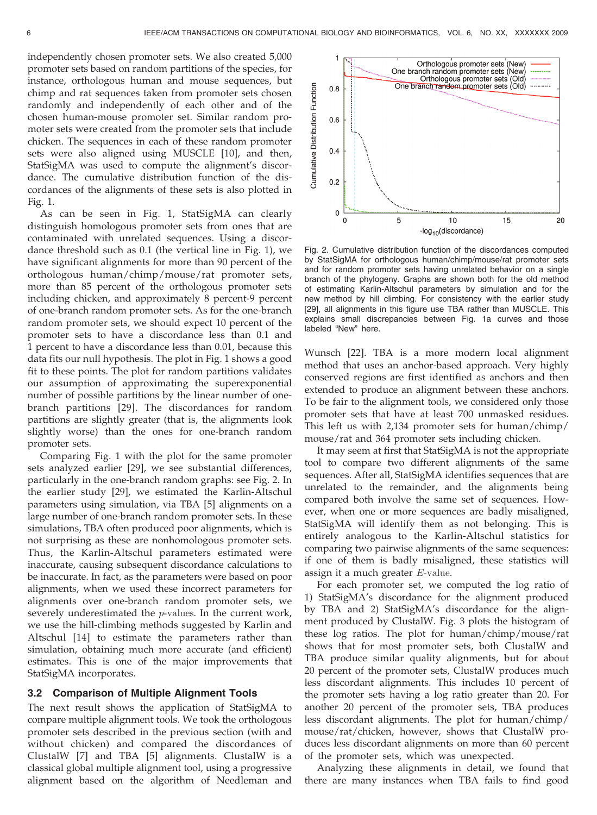independently chosen promoter sets. We also created 5,000 promoter sets based on random partitions of the species, for instance, orthologous human and mouse sequences, but chimp and rat sequences taken from promoter sets chosen randomly and independently of each other and of the chosen human-mouse promoter set. Similar random promoter sets were created from the promoter sets that include chicken. The sequences in each of these random promoter sets were also aligned using MUSCLE [10], and then, StatSigMA was used to compute the alignment's discordance. The cumulative distribution function of the discordances of the alignments of these sets is also plotted in Fig. 1.

As can be seen in Fig. 1, StatSigMA can clearly distinguish homologous promoter sets from ones that are contaminated with unrelated sequences. Using a discordance threshold such as 0.1 (the vertical line in Fig. 1), we have significant alignments for more than 90 percent of the orthologous human/chimp/mouse/rat promoter sets, more than 85 percent of the orthologous promoter sets including chicken, and approximately 8 percent-9 percent of one-branch random promoter sets. As for the one-branch random promoter sets, we should expect 10 percent of the promoter sets to have a discordance less than 0.1 and 1 percent to have a discordance less than 0.01, because this data fits our null hypothesis. The plot in Fig. 1 shows a good fit to these points. The plot for random partitions validates our assumption of approximating the superexponential number of possible partitions by the linear number of onebranch partitions [29]. The discordances for random partitions are slightly greater (that is, the alignments look slightly worse) than the ones for one-branch random promoter sets.

Comparing Fig. 1 with the plot for the same promoter sets analyzed earlier [29], we see substantial differences, particularly in the one-branch random graphs: see Fig. 2. In the earlier study [29], we estimated the Karlin-Altschul parameters using simulation, via TBA [5] alignments on a large number of one-branch random promoter sets. In these simulations, TBA often produced poor alignments, which is not surprising as these are nonhomologous promoter sets. Thus, the Karlin-Altschul parameters estimated were inaccurate, causing subsequent discordance calculations to be inaccurate. In fact, as the parameters were based on poor alignments, when we used these incorrect parameters for alignments over one-branch random promoter sets, we severely underestimated the  $p$ -values. In the current work, we use the hill-climbing methods suggested by Karlin and Altschul [14] to estimate the parameters rather than simulation, obtaining much more accurate (and efficient) estimates. This is one of the major improvements that StatSigMA incorporates.

# 3.2 Comparison of Multiple Alignment Tools

The next result shows the application of StatSigMA to compare multiple alignment tools. We took the orthologous promoter sets described in the previous section (with and without chicken) and compared the discordances of ClustalW [7] and TBA [5] alignments. ClustalW is a classical global multiple alignment tool, using a progressive alignment based on the algorithm of Needleman and



Fig. 2. Cumulative distribution function of the discordances computed by StatSigMA for orthologous human/chimp/mouse/rat promoter sets and for random promoter sets having unrelated behavior on a single branch of the phylogeny. Graphs are shown both for the old method of estimating Karlin-Altschul parameters by simulation and for the new method by hill climbing. For consistency with the earlier study [29], all alignments in this figure use TBA rather than MUSCLE. This explains small discrepancies between Fig. 1a curves and those labeled "New" here.

Wunsch [22]. TBA is a more modern local alignment method that uses an anchor-based approach. Very highly conserved regions are first identified as anchors and then extended to produce an alignment between these anchors. To be fair to the alignment tools, we considered only those promoter sets that have at least 700 unmasked residues. This left us with 2,134 promoter sets for human/chimp/ mouse/rat and 364 promoter sets including chicken.

It may seem at first that StatSigMA is not the appropriate tool to compare two different alignments of the same sequences. After all, StatSigMA identifies sequences that are unrelated to the remainder, and the alignments being compared both involve the same set of sequences. However, when one or more sequences are badly misaligned, StatSigMA will identify them as not belonging. This is entirely analogous to the Karlin-Altschul statistics for comparing two pairwise alignments of the same sequences: if one of them is badly misaligned, these statistics will assign it a much greater E-value.

For each promoter set, we computed the log ratio of 1) StatSigMA's discordance for the alignment produced by TBA and 2) StatSigMA's discordance for the alignment produced by ClustalW. Fig. 3 plots the histogram of these log ratios. The plot for human/chimp/mouse/rat shows that for most promoter sets, both ClustalW and TBA produce similar quality alignments, but for about 20 percent of the promoter sets, ClustalW produces much less discordant alignments. This includes 10 percent of the promoter sets having a log ratio greater than 20. For another 20 percent of the promoter sets, TBA produces less discordant alignments. The plot for human/chimp/ mouse/rat/chicken, however, shows that ClustalW produces less discordant alignments on more than 60 percent of the promoter sets, which was unexpected.

Analyzing these alignments in detail, we found that there are many instances when TBA fails to find good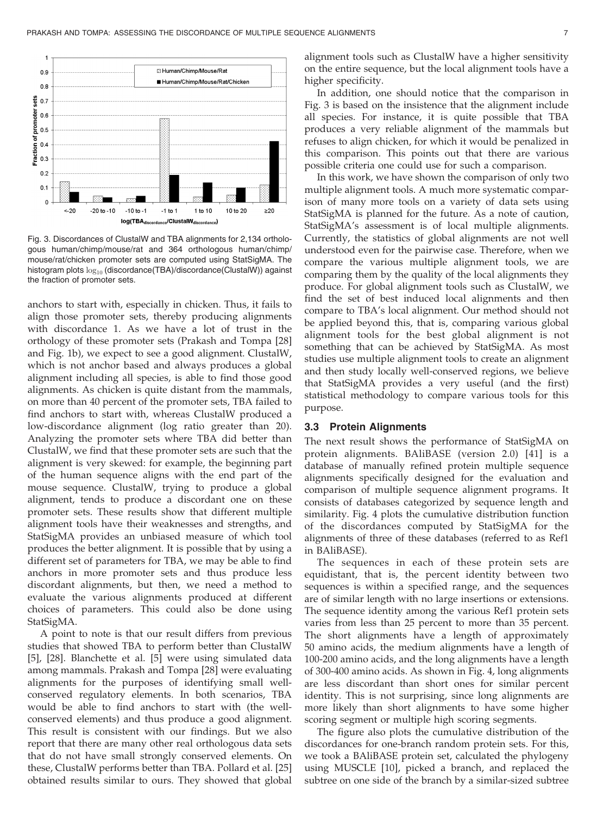

Fig. 3. Discordances of ClustalW and TBA alignments for 2,134 orthologous human/chimp/mouse/rat and 364 orthologous human/chimp/ mouse/rat/chicken promoter sets are computed using StatSigMA. The histogram plots  $\log_{10}$  (discordance(TBA)/discordance(ClustalW)) against the fraction of promoter sets.

anchors to start with, especially in chicken. Thus, it fails to align those promoter sets, thereby producing alignments with discordance 1. As we have a lot of trust in the orthology of these promoter sets (Prakash and Tompa [28] and Fig. 1b), we expect to see a good alignment. ClustalW, which is not anchor based and always produces a global alignment including all species, is able to find those good alignments. As chicken is quite distant from the mammals, on more than 40 percent of the promoter sets, TBA failed to find anchors to start with, whereas ClustalW produced a low-discordance alignment (log ratio greater than 20). Analyzing the promoter sets where TBA did better than ClustalW, we find that these promoter sets are such that the alignment is very skewed: for example, the beginning part of the human sequence aligns with the end part of the mouse sequence. ClustalW, trying to produce a global alignment, tends to produce a discordant one on these promoter sets. These results show that different multiple alignment tools have their weaknesses and strengths, and StatSigMA provides an unbiased measure of which tool produces the better alignment. It is possible that by using a different set of parameters for TBA, we may be able to find anchors in more promoter sets and thus produce less discordant alignments, but then, we need a method to evaluate the various alignments produced at different choices of parameters. This could also be done using StatSigMA.

A point to note is that our result differs from previous studies that showed TBA to perform better than ClustalW [5], [28]. Blanchette et al. [5] were using simulated data among mammals. Prakash and Tompa [28] were evaluating alignments for the purposes of identifying small wellconserved regulatory elements. In both scenarios, TBA would be able to find anchors to start with (the wellconserved elements) and thus produce a good alignment. This result is consistent with our findings. But we also report that there are many other real orthologous data sets that do not have small strongly conserved elements. On these, ClustalW performs better than TBA. Pollard et al. [25] obtained results similar to ours. They showed that global alignment tools such as ClustalW have a higher sensitivity on the entire sequence, but the local alignment tools have a higher specificity.

In addition, one should notice that the comparison in Fig. 3 is based on the insistence that the alignment include all species. For instance, it is quite possible that TBA produces a very reliable alignment of the mammals but refuses to align chicken, for which it would be penalized in this comparison. This points out that there are various possible criteria one could use for such a comparison.

In this work, we have shown the comparison of only two multiple alignment tools. A much more systematic comparison of many more tools on a variety of data sets using StatSigMA is planned for the future. As a note of caution, StatSigMA's assessment is of local multiple alignments. Currently, the statistics of global alignments are not well understood even for the pairwise case. Therefore, when we compare the various multiple alignment tools, we are comparing them by the quality of the local alignments they produce. For global alignment tools such as ClustalW, we find the set of best induced local alignments and then compare to TBA's local alignment. Our method should not be applied beyond this, that is, comparing various global alignment tools for the best global alignment is not something that can be achieved by StatSigMA. As most studies use multiple alignment tools to create an alignment and then study locally well-conserved regions, we believe that StatSigMA provides a very useful (and the first) statistical methodology to compare various tools for this purpose.

#### 3.3 Protein Alignments

The next result shows the performance of StatSigMA on protein alignments. BAliBASE (version 2.0) [41] is a database of manually refined protein multiple sequence alignments specifically designed for the evaluation and comparison of multiple sequence alignment programs. It consists of databases categorized by sequence length and similarity. Fig. 4 plots the cumulative distribution function of the discordances computed by StatSigMA for the alignments of three of these databases (referred to as Ref1 in BAliBASE).

The sequences in each of these protein sets are equidistant, that is, the percent identity between two sequences is within a specified range, and the sequences are of similar length with no large insertions or extensions. The sequence identity among the various Ref1 protein sets varies from less than 25 percent to more than 35 percent. The short alignments have a length of approximately 50 amino acids, the medium alignments have a length of 100-200 amino acids, and the long alignments have a length of 300-400 amino acids. As shown in Fig. 4, long alignments are less discordant than short ones for similar percent identity. This is not surprising, since long alignments are more likely than short alignments to have some higher scoring segment or multiple high scoring segments.

The figure also plots the cumulative distribution of the discordances for one-branch random protein sets. For this, we took a BAliBASE protein set, calculated the phylogeny using MUSCLE [10], picked a branch, and replaced the subtree on one side of the branch by a similar-sized subtree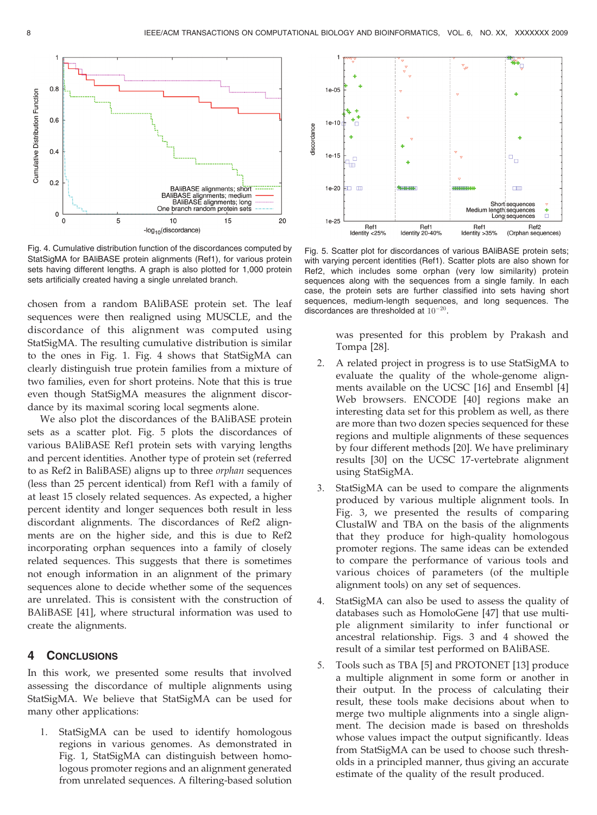

Fig. 4. Cumulative distribution function of the discordances computed by StatSigMA for BAliBASE protein alignments (Ref1), for various protein sets having different lengths. A graph is also plotted for 1,000 protein sets artificially created having a single unrelated branch.

chosen from a random BAliBASE protein set. The leaf sequences were then realigned using MUSCLE, and the discordance of this alignment was computed using StatSigMA. The resulting cumulative distribution is similar to the ones in Fig. 1. Fig. 4 shows that StatSigMA can clearly distinguish true protein families from a mixture of two families, even for short proteins. Note that this is true even though StatSigMA measures the alignment discordance by its maximal scoring local segments alone.

We also plot the discordances of the BAliBASE protein sets as a scatter plot. Fig. 5 plots the discordances of various BAliBASE Ref1 protein sets with varying lengths and percent identities. Another type of protein set (referred to as Ref2 in BaliBASE) aligns up to three orphan sequences (less than 25 percent identical) from Ref1 with a family of at least 15 closely related sequences. As expected, a higher percent identity and longer sequences both result in less discordant alignments. The discordances of Ref2 alignments are on the higher side, and this is due to Ref2 incorporating orphan sequences into a family of closely related sequences. This suggests that there is sometimes not enough information in an alignment of the primary sequences alone to decide whether some of the sequences are unrelated. This is consistent with the construction of BAliBASE [41], where structural information was used to create the alignments.

# 4 CONCLUSIONS

In this work, we presented some results that involved assessing the discordance of multiple alignments using StatSigMA. We believe that StatSigMA can be used for many other applications:

1. StatSigMA can be used to identify homologous regions in various genomes. As demonstrated in Fig. 1, StatSigMA can distinguish between homologous promoter regions and an alignment generated from unrelated sequences. A filtering-based solution



Fig. 5. Scatter plot for discordances of various BAliBASE protein sets; with varying percent identities (Ref1). Scatter plots are also shown for Ref2, which includes some orphan (very low similarity) protein sequences along with the sequences from a single family. In each case, the protein sets are further classified into sets having short sequences, medium-length sequences, and long sequences. The discordances are thresholded at  $10^{-20}$ .

was presented for this problem by Prakash and Tompa [28].

- 2. A related project in progress is to use StatSigMA to evaluate the quality of the whole-genome alignments available on the UCSC [16] and Ensembl [4] Web browsers. ENCODE [40] regions make an interesting data set for this problem as well, as there are more than two dozen species sequenced for these regions and multiple alignments of these sequences by four different methods [20]. We have preliminary results [30] on the UCSC 17-vertebrate alignment using StatSigMA.
- StatSigMA can be used to compare the alignments produced by various multiple alignment tools. In Fig. 3, we presented the results of comparing ClustalW and TBA on the basis of the alignments that they produce for high-quality homologous promoter regions. The same ideas can be extended to compare the performance of various tools and various choices of parameters (of the multiple alignment tools) on any set of sequences.
- 4. StatSigMA can also be used to assess the quality of databases such as HomoloGene [47] that use multiple alignment similarity to infer functional or ancestral relationship. Figs. 3 and 4 showed the result of a similar test performed on BAliBASE.
- 5. Tools such as TBA [5] and PROTONET [13] produce a multiple alignment in some form or another in their output. In the process of calculating their result, these tools make decisions about when to merge two multiple alignments into a single alignment. The decision made is based on thresholds whose values impact the output significantly. Ideas from StatSigMA can be used to choose such thresholds in a principled manner, thus giving an accurate estimate of the quality of the result produced.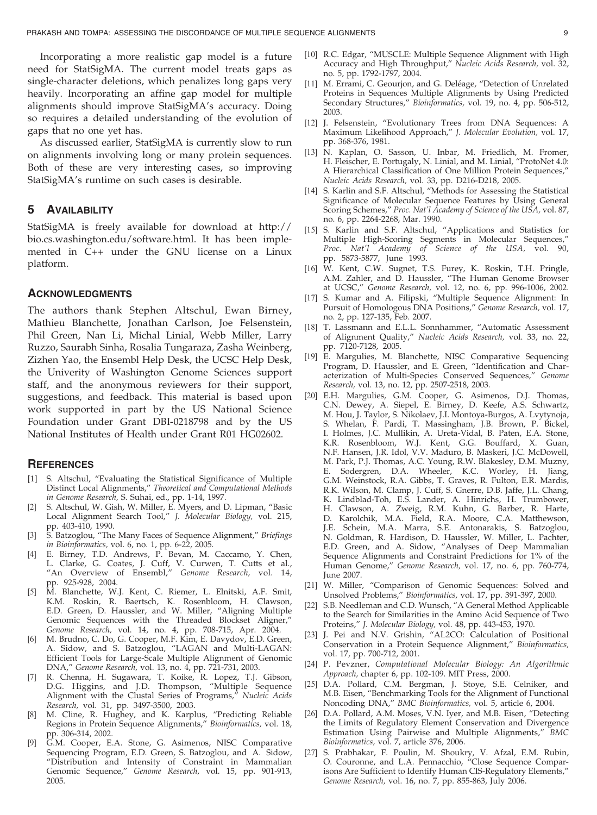Incorporating a more realistic gap model is a future need for StatSigMA. The current model treats gaps as single-character deletions, which penalizes long gaps very heavily. Incorporating an affine gap model for multiple alignments should improve StatSigMA's accuracy. Doing so requires a detailed understanding of the evolution of gaps that no one yet has.

As discussed earlier, StatSigMA is currently slow to run on alignments involving long or many protein sequences. Both of these are very interesting cases, so improving StatSigMA's runtime on such cases is desirable.

# 5 AVAILABILITY

StatSigMA is freely available for download at http:// bio.cs.washington.edu/software.html. It has been implemented in C++ under the GNU license on a Linux platform.

#### **ACKNOWLEDGMENTS**

The authors thank Stephen Altschul, Ewan Birney, Mathieu Blanchette, Jonathan Carlson, Joe Felsenstein, Phil Green, Nan Li, Michal Linial, Webb Miller, Larry Ruzzo, Saurabh Sinha, Rosalia Tungaraza, Zasha Weinberg, Zizhen Yao, the Ensembl Help Desk, the UCSC Help Desk, the Univerity of Washington Genome Sciences support staff, and the anonymous reviewers for their support, suggestions, and feedback. This material is based upon work supported in part by the US National Science Foundation under Grant DBI-0218798 and by the US National Institutes of Health under Grant R01 HG02602.

#### **REFERENCES**

- [1] S. Altschul, "Evaluating the Statistical Significance of Multiple Distinct Local Alignments," Theoretical and Computational Methods in Genome Research, S. Suhai, ed., pp. 1-14, 1997.
- S. Altschul, W. Gish, W. Miller, E. Myers, and D. Lipman, "Basic Local Alignment Search Tool," J. Molecular Biology, vol. 215, pp. 403-410, 1990.
- [3] S. Batzoglou, "The Many Faces of Sequence Alignment," Briefings in Bioinformatics, vol. 6, no. 1, pp. 6-22, 2005.
- [4] E. Birney, T.D. Andrews, P. Bevan, M. Caccamo, Y. Chen, L. Clarke, G. Coates, J. Cuff, V. Curwen, T. Cutts et al., "An Overview of Ensembl," Genome Research, vol. 14, pp. 925-928, 2004.
- [5] M. Blanchette, W.J. Kent, C. Riemer, L. Elnitski, A.F. Smit, K.M. Roskin, R. Baertsch, K. Rosenbloom, H. Clawson, E.D. Green, D. Haussler, and W. Miller, "Aligning Multiple Genomic Sequences with the Threaded Blockset Aligner," Genome Research, vol. 14, no. 4, pp. 708-715, Apr. 2004.
- [6] M. Brudno, C. Do, G. Cooper, M.F. Kim, E. Davydov, E.D. Green, A. Sidow, and S. Batzoglou, "LAGAN and Multi-LAGAN: Efficient Tools for Large-Scale Multiple Alignment of Genomic DNA," Genome Research, vol. 13, no. 4, pp. 721-731, 2003.
- [7] R. Chenna, H. Sugawara, T. Koike, R. Lopez, T.J. Gibson, D.G. Higgins, and J.D. Thompson, "Multiple Sequence Alignment with the Clustal Series of Programs," Nucleic Acids Research, vol. 31, pp. 3497-3500, 2003.
- [8] M. Cline, R. Hughey, and K. Karplus, "Predicting Reliable Regions in Protein Sequence Alignments," Bioinformatics, vol. 18, pp. 306-314, 2002.
- [9] G.M. Cooper, E.A. Stone, G. Asimenos, NISC Comparative Sequencing Program, E.D. Green, S. Batzoglou, and A. Sidow, "Distribution and Intensity of Constraint in Mammalian Genomic Sequence," Genome Research, vol. 15, pp. 901-913, 2005.
- [10] R.C. Edgar, "MUSCLE: Multiple Sequence Alignment with High Accuracy and High Throughput," Nucleic Acids Research, vol. 32, no. 5, pp. 1792-1797, 2004.
- [11] M. Errami, C. Geourjon, and G. Deléage, "Detection of Unrelated Proteins in Sequences Multiple Alignments by Using Predicted Secondary Structures," Bioinformatics, vol. 19, no. 4, pp. 506-512, 2003.
- [12] J. Felsenstein, "Evolutionary Trees from DNA Sequences: A Maximum Likelihood Approach," J. Molecular Evolution, vol. 17, pp. 368-376, 1981.
- [13] N. Kaplan, O. Sasson, U. Inbar, M. Friedlich, M. Fromer, H. Fleischer, E. Portugaly, N. Linial, and M. Linial, "ProtoNet 4.0: A Hierarchical Classification of One Million Protein Sequences," Nucleic Acids Research, vol. 33, pp. D216-D218, 2005.
- [14] S. Karlin and S.F. Altschul, "Methods for Assessing the Statistical Significance of Molecular Sequence Features by Using General Scoring Schemes," Proc. Nat'l Academy of Science of the USA, vol. 87, no. 6, pp. 2264-2268, Mar. 1990.
- [15] S. Karlin and S.F. Altschul, "Applications and Statistics for Multiple High-Scoring Segments in Molecular Sequences," Proc. Nat'l Academy of Science of the USA, vol. 90, pp. 5873-5877, June 1993.
- [16] W. Kent, C.W. Sugnet, T.S. Furey, K. Roskin, T.H. Pringle, A.M. Zahler, and D. Haussler, "The Human Genome Browser at UCSC," Genome Research, vol. 12, no. 6, pp. 996-1006, 2002.
- [17] S. Kumar and A. Filipski, "Multiple Sequence Alignment: In Pursuit of Homologous DNA Positions," Genome Research, vol. 17, no. 2, pp. 127-135, Feb. 2007.
- [18] T. Lassmann and E.L.L. Sonnhammer, "Automatic Assessment of Alignment Quality," Nucleic Acids Research, vol. 33, no. 22, pp. 7120-7128, 2005.
- [19] E. Margulies, M. Blanchette, NISC Comparative Sequencing Program, D. Haussler, and E. Green, "Identification and Characterization of Multi-Species Conserved Sequences," Genome Research, vol. 13, no. 12, pp. 2507-2518, 2003.
- [20] E.H. Margulies, G.M. Cooper, G. Asimenos, D.J. Thomas, C.N. Dewey, A. Siepel, E. Birney, D. Keefe, A.S. Schwartz, M. Hou, J. Taylor, S. Nikolaev, J.I. Montoya-Burgos, A. Lvytynoja, S. Whelan, F. Pardi, T. Massingham, J.B. Brown, P. Bickel, I. Holmes, J.C. Mullikin, A. Ureta-Vidal, B. Paten, E.A. Stone, K.R. Rosenbloom, W.J. Kent, G.G. Bouffard, X. Guan, N.F. Hansen, J.R. Idol, V.V. Maduro, B. Maskeri, J.C. McDowell, M. Park, P.J. Thomas, A.C. Young, R.W. Blakesley, D.M. Muzny, E. Sodergren, D.A. Wheeler, K.C. Worley, H. Jiang, G.M. Weinstock, R.A. Gibbs, T. Graves, R. Fulton, E.R. Mardis, R.K. Wilson, M. Clamp, J. Cuff, S. Gnerre, D.B. Jaffe, J.L. Chang, K. Lindblad-Toh, E.S. Lander, A. Hinrichs, H. Trumbower, H. Clawson, A. Zweig, R.M. Kuhn, G. Barber, R. Harte, D. Karolchik, M.A. Field, R.A. Moore, C.A. Matthewson, J.E. Schein, M.A. Marra, S.E. Antonarakis, S. Batzoglou, N. Goldman, R. Hardison, D. Haussler, W. Miller, L. Pachter, E.D. Green, and A. Sidow, "Analyses of Deep Mammalian Sequence Alignments and Constraint Predictions for 1% of the Human Genome," Genome Research, vol. 17, no. 6, pp. 760-774, June 2007.
- [21] W. Miller, "Comparison of Genomic Sequences: Solved and Unsolved Problems," Bioinformatics, vol. 17, pp. 391-397, 2000.
- [22] S.B. Needleman and C.D. Wunsch, "A General Method Applicable to the Search for Similarities in the Amino Acid Sequence of Two Proteins," J. Molecular Biology, vol. 48, pp. 443-453, 1970.
- [23] J. Pei and N.V. Grishin, "AL2CO: Calculation of Positional Conservation in a Protein Sequence Alignment," Bioinformatics, vol. 17, pp. 700-712, 2001.
- [24] P. Pevzner, Computational Molecular Biology: An Algorithmic Approach, chapter 6, pp. 102-109. MIT Press, 2000.
- [25] D.A. Pollard, C.M. Bergman, J. Stoye, S.E. Celniker, and M.B. Eisen, "Benchmarking Tools for the Alignment of Functional Noncoding DNA," BMC Bioinformatics, vol. 5, article 6, 2004.
- [26] D.A. Pollard, A.M. Moses, V.N. Iyer, and M.B. Eisen, "Detecting the Limits of Regulatory Element Conservation and Divergence Estimation Using Pairwise and Multiple Alignments," BMC Bioinformatics, vol. 7, article 376, 2006.
- [27] S. Prabhakar, F. Poulin, M. Shoukry, V. Afzal, E.M. Rubin, O. Couronne, and L.A. Pennacchio, "Close Sequence Comparisons Are Sufficient to Identify Human CIS-Regulatory Elements," Genome Research, vol. 16, no. 7, pp. 855-863, July 2006.